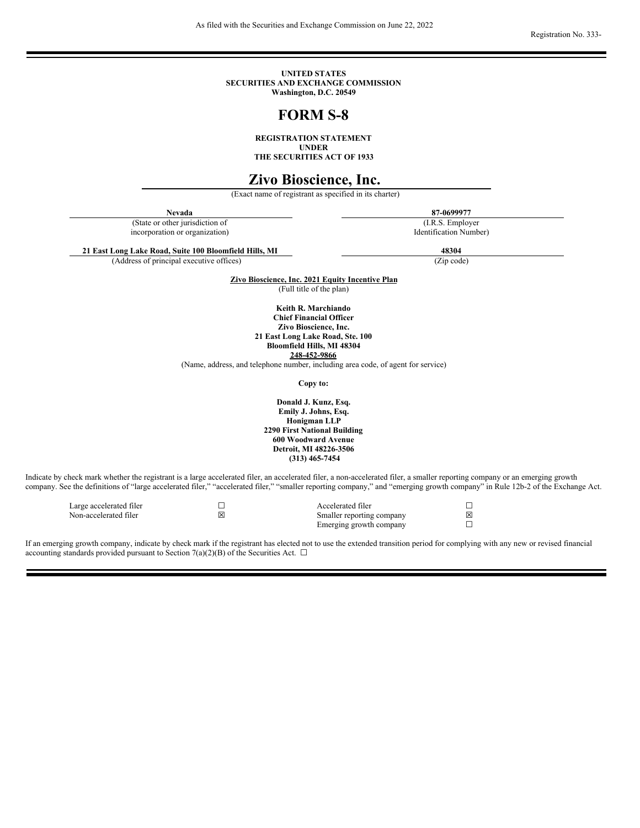As filed with the Securities and Exchange Commission on June 22, 2022

Registration No. 333-

**UNITED STATES SECURITIES AND EXCHANGE COMMISSION Washington, D.C. 20549**

# **FORM S-8**

**REGISTRATION STATEMENT UNDER**

**THE SECURITIES ACT OF 1933**

# **Zivo Bioscience, Inc.**

(Exact name of registrant as specified in its charter)

**Nevada 87-0699977**

(State or other jurisdiction of incorporation or organization)

(I.R.S. Employer Identification Number)

**21 East Long Lake Road, Suite 100 Bloomfield Hills, MI 48304**

(Address of principal executive offices) (Zip code)

**Zivo Bioscience, Inc. 2021 Equity Incentive Plan** (Full title of the plan)

> **Keith R. Marchiando Chief Financial Officer Zivo Bioscience, Inc. 21 East Long Lake Road, Ste. 100**

**Bloomfield Hills, MI 48304**

**248-452-9866**

(Name, address, and telephone number, including area code, of agent for service)

**Copy to:**

**Donald J. Kunz, Esq. Emily J. Johns, Esq. Honigman LLP 2290 First National Building 600 Woodward Avenue Detroit, MI 48226-3506 (313) 465-7454**

Indicate by check mark whether the registrant is a large accelerated filer, an accelerated filer, a non-accelerated filer, a smaller reporting company or an emerging growth company. See the definitions of "large accelerated filer," "accelerated filer," "smaller reporting company," and "emerging growth company" in Rule 12b-2 of the Exchange Act.

| Large accelerated filer |   | Accelerated filer         |     |
|-------------------------|---|---------------------------|-----|
| Non-accelerated filer   | ⊠ | Smaller reporting company | Ι×Ι |
|                         |   | Emerging growth company   |     |

If an emerging growth company, indicate by check mark if the registrant has elected not to use the extended transition period for complying with any new or revised financial accounting standards provided pursuant to Section 7(a)(2)(B) of the Securities Act.  $\Box$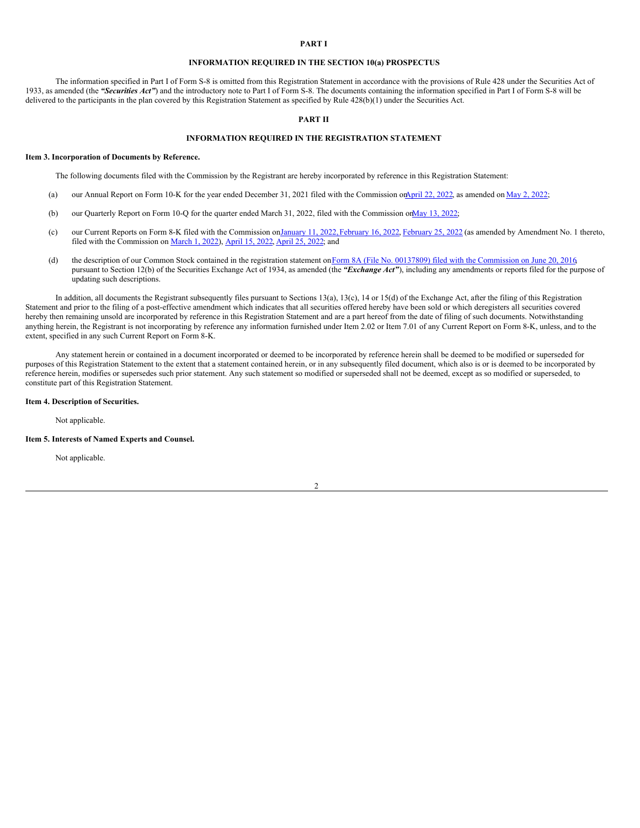#### **PART I**

#### **INFORMATION REQUIRED IN THE SECTION 10(a) PROSPECTUS**

The information specified in Part I of Form S-8 is omitted from this Registration Statement in accordance with the provisions of Rule 428 under the Securities Act of 1933, as amended (the *"Securities Act"*) and the introductory note to Part I of Form S-8. The documents containing the information specified in Part I of Form S-8 will be delivered to the participants in the plan covered by this Registration Statement as specified by Rule 428(b)(1) under the Securities Act.

### **PART II**

#### **INFORMATION REQUIRED IN THE REGISTRATION STATEMENT**

#### **Item 3. Incorporation of Documents by Reference.**

The following documents filed with the Commission by the Registrant are hereby incorporated by reference in this Registration Statement:

- (a) our Annual Report on Form 10-K for the year ended December 31, 2021 filed with the Commission on April 22, [2022](http://www.sec.gov/ix?doc=/Archives/edgar/data/0001101026/000165495422005733/zivo_10ka.htm), as amended on May 2, 2022;
- (b) our Quarterly Report on Form 10-Q for the quarter ended March 31, 2022, filed with the Commission o[nMay](http://www.sec.gov/ix?doc=/Archives/edgar/data/0001101026/000165495422006758/zivo_10q.htm) 13, 2022;
- (c) our Current Reports on Form 8-K filed with the Commission o[nJanuary](http://www.sec.gov/ix?doc=/Archives/edgar/data/0001101026/000165495422000342/zivo_8k.htm) 11, 2022, [February](http://www.sec.gov/ix?doc=/Archives/edgar/data/0001101026/000165495422002090/zivo_8k.htm) 16, 2022, February 25, 2022 (as amended by Amendment No. 1 thereto, filed with the Commission on [March](http://www.sec.gov/ix?doc=/Archives/edgar/data/0001101026/000165495422002336/zivo_8ka.htm) 1, 2022), [April](http://www.sec.gov/ix?doc=/Archives/edgar/data/0001101026/000165495422005373/zivo_8k.htm) 15, 2022, April 25, 2022; and
- (d) the description of our Common Stock contained in the registration statement on Form 8A (File No. 00137809) filed with the [Commission](http://www.sec.gov/Archives/edgar/data/1638287/000110465916128353/a15-18801_108a12b.htm) on June 20, 2016 pursuant to Section 12(b) of the Securities Exchange Act of 1934, as amended (the *"Exchange Act"*), including any amendments or reports filed for the purpose of updating such descriptions.

In addition, all documents the Registrant subsequently files pursuant to Sections 13(a), 13(c), 14 or 15(d) of the Exchange Act, after the filing of this Registration Statement and prior to the filing of a post-effective amendment which indicates that all securities offered hereby have been sold or which deregisters all securities covered hereby then remaining unsold are incorporated by reference in this Registration Statement and are a part hereof from the date of filing of such documents. Notwithstanding anything herein, the Registrant is not incorporating by reference any information furnished under Item 2.02 or Item 7.01 of any Current Report on Form 8-K, unless, and to the extent, specified in any such Current Report on Form 8-K.

Any statement herein or contained in a document incorporated or deemed to be incorporated by reference herein shall be deemed to be modified or superseded for purposes of this Registration Statement to the extent that a statement contained herein, or in any subsequently filed document, which also is or is deemed to be incorporated by reference herein, modifies or supersedes such prior statement. Any such statement so modified or superseded shall not be deemed, except as so modified or superseded, to constitute part of this Registration Statement.

#### **Item 4. Description of Securities.**

Not applicable.

#### **Item 5. Interests of Named Experts and Counsel.**

Not applicable.

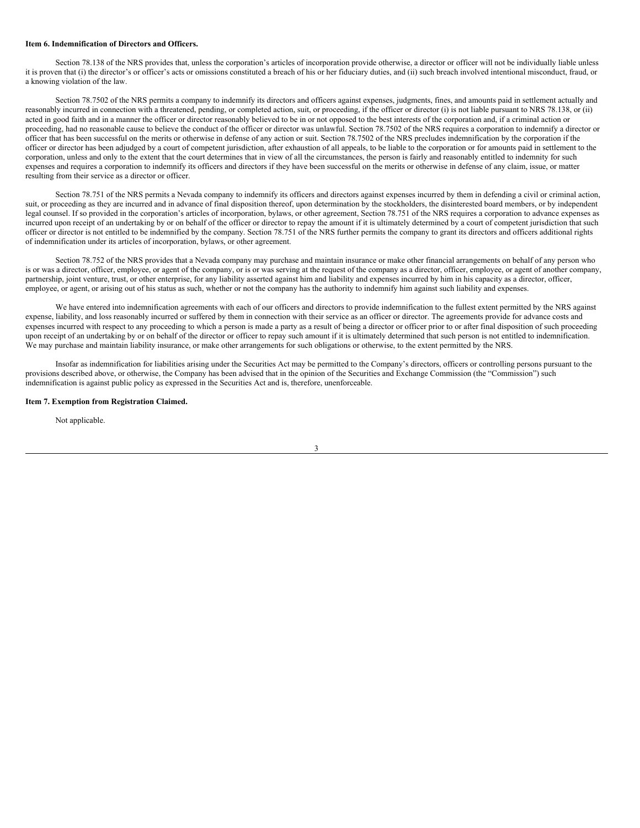#### **Item 6. Indemnification of Directors and Officers.**

Section 78.138 of the NRS provides that, unless the corporation's articles of incorporation provide otherwise, a director or officer will not be individually liable unless it is proven that (i) the director's or officer's acts or omissions constituted a breach of his or her fiduciary duties, and (ii) such breach involved intentional misconduct, fraud, or a knowing violation of the law.

Section 78.7502 of the NRS permits a company to indemnify its directors and officers against expenses, judgments, fines, and amounts paid in settlement actually and reasonably incurred in connection with a threatened, pending, or completed action, suit, or proceeding, if the officer or director (i) is not liable pursuant to NRS 78.138, or (ii) acted in good faith and in a manner the officer or director reasonably believed to be in or not opposed to the best interests of the corporation and, if a criminal action or proceeding, had no reasonable cause to believe the conduct of the officer or director was unlawful. Section 78.7502 of the NRS requires a corporation to indemnify a director or officer that has been successful on the merits or otherwise in defense of any action or suit. Section 78.7502 of the NRS precludes indemnification by the corporation if the officer or director has been adjudged by a court of competent jurisdiction, after exhaustion of all appeals, to be liable to the corporation or for amounts paid in settlement to the corporation, unless and only to the extent that the court determines that in view of all the circumstances, the person is fairly and reasonably entitled to indemnity for such expenses and requires a corporation to indemnify its officers and directors if they have been successful on the merits or otherwise in defense of any claim, issue, or matter resulting from their service as a director or officer.

Section 78.751 of the NRS permits a Nevada company to indemnify its officers and directors against expenses incurred by them in defending a civil or criminal action, suit, or proceeding as they are incurred and in advance of final disposition thereof, upon determination by the stockholders, the disinterested board members, or by independent legal counsel. If so provided in the corporation's articles of incorporation, bylaws, or other agreement, Section 78.751 of the NRS requires a corporation to advance expenses as incurred upon receipt of an undertaking by or on behalf of the officer or director to repay the amount if it is ultimately determined by a court of competent jurisdiction that such officer or director is not entitled to be indemnified by the company. Section 78.751 of the NRS further permits the company to grant its directors and officers additional rights of indemnification under its articles of incorporation, bylaws, or other agreement.

Section 78.752 of the NRS provides that a Nevada company may purchase and maintain insurance or make other financial arrangements on behalf of any person who is or was a director, officer, employee, or agent of the company, or is or was serving at the request of the company as a director, officer, employee, or agent of another company, partnership, joint venture, trust, or other enterprise, for any liability asserted against him and liability and expenses incurred by him in his capacity as a director, officer, employee, or agent, or arising out of his status as such, whether or not the company has the authority to indemnify him against such liability and expenses.

We have entered into indemnification agreements with each of our officers and directors to provide indemnification to the fullest extent permitted by the NRS against expense, liability, and loss reasonably incurred or suffered by them in connection with their service as an officer or director. The agreements provide for advance costs and expenses incurred with respect to any proceeding to which a person is made a party as a result of being a director or officer prior to or after final disposition of such proceeding upon receipt of an undertaking by or on behalf of the director or officer to repay such amount if it is ultimately determined that such person is not entitled to indemnification. We may purchase and maintain liability insurance, or make other arrangements for such obligations or otherwise, to the extent permitted by the NRS.

Insofar as indemnification for liabilities arising under the Securities Act may be permitted to the Company's directors, officers or controlling persons pursuant to the provisions described above, or otherwise, the Company has been advised that in the opinion of the Securities and Exchange Commission (the "Commission") such indemnification is against public policy as expressed in the Securities Act and is, therefore, unenforceable.

#### **Item 7. Exemption from Registration Claimed.**

Not applicable.

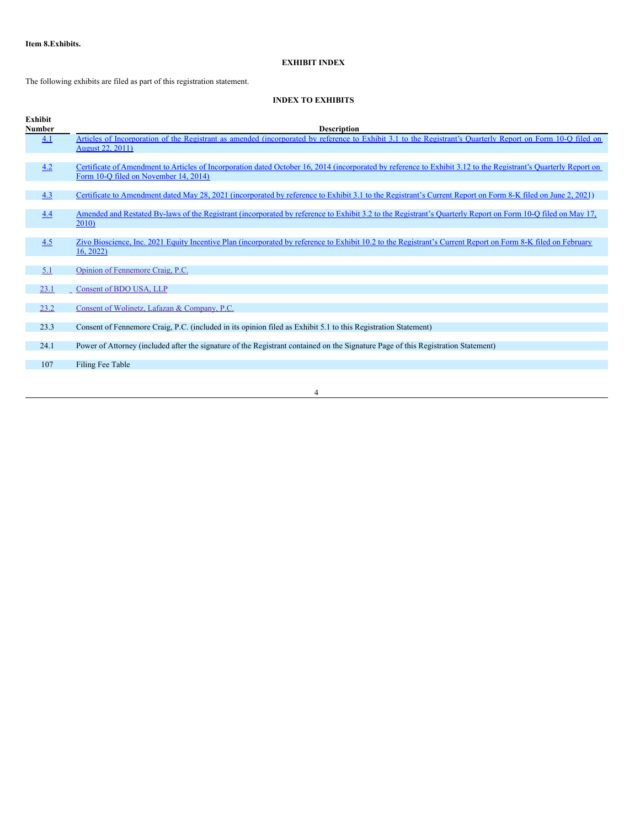# **EXHIBIT INDEX**

The following exhibits are filed as part of this registration statement.

# **INDEX TO EXHIBITS**

| Exhibit<br>Number | <b>Description</b>                                                                                                                                                                                       |
|-------------------|----------------------------------------------------------------------------------------------------------------------------------------------------------------------------------------------------------|
| 4.1               | Articles of Incorporation of the Registrant as amended (incorporated by reference to Exhibit 3.1 to the Registrant's Quarterly Report on Form 10-Q filed on                                              |
|                   | <b>August 22, 2011)</b>                                                                                                                                                                                  |
|                   |                                                                                                                                                                                                          |
| 4.2               | Certificate of Amendment to Articles of Incorporation dated October 16, 2014 (incorporated by reference to Exhibit 3.12 to the Registrant's Quarterly Report on<br>Form 10-Q filed on November 14, 2014) |
|                   |                                                                                                                                                                                                          |
| 4.3               | Certificate to Amendment dated May 28, 2021 (incorporated by reference to Exhibit 3.1 to the Registrant's Current Report on Form 8-K filed on June 2, 2021)                                              |
| 4.4               | Amended and Restated By-laws of the Registrant (incorporated by reference to Exhibit 3.2 to the Registrant's Quarterly Report on Form 10-Q filed on May 17,                                              |
|                   | 2010)                                                                                                                                                                                                    |
|                   |                                                                                                                                                                                                          |
| 4.5               | Zivo Bioscience, Inc. 2021 Equity Incentive Plan (incorporated by reference to Exhibit 10.2 to the Registrant's Current Report on Form 8-K filed on February<br>16, 2022                                 |
|                   |                                                                                                                                                                                                          |
| 5.1               | Opinion of Fennemore Craig, P.C.                                                                                                                                                                         |
|                   |                                                                                                                                                                                                          |
| 23.1              | Consent of BDO USA, LLP                                                                                                                                                                                  |
| 23.2              | Consent of Wolinetz, Lafazan & Company, P.C.                                                                                                                                                             |
|                   |                                                                                                                                                                                                          |
| 23.3              | Consent of Fennemore Craig, P.C. (included in its opinion filed as Exhibit 5.1 to this Registration Statement)                                                                                           |
| 24.1              | Power of Attorney (included after the signature of the Registrant contained on the Signature Page of this Registration Statement)                                                                        |
|                   |                                                                                                                                                                                                          |
| 107               | Filing Fee Table                                                                                                                                                                                         |
|                   |                                                                                                                                                                                                          |

4

<u> 1980 - Johann Barbara, martxa amerikan per</u>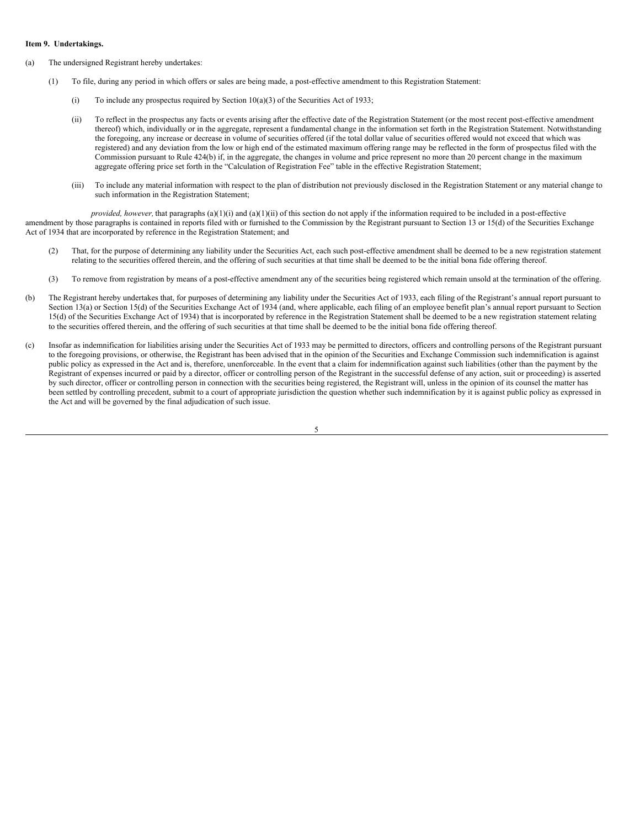#### **Item 9. Undertakings.**

- (a) The undersigned Registrant hereby undertakes:
	- (1) To file, during any period in which offers or sales are being made, a post-effective amendment to this Registration Statement:
		- (i) To include any prospectus required by Section  $10(a)(3)$  of the Securities Act of 1933;
		- (ii) To reflect in the prospectus any facts or events arising after the effective date of the Registration Statement (or the most recent post-effective amendment thereof) which, individually or in the aggregate, represent a fundamental change in the information set forth in the Registration Statement. Notwithstanding the foregoing, any increase or decrease in volume of securities offered (if the total dollar value of securities offered would not exceed that which was registered) and any deviation from the low or high end of the estimated maximum offering range may be reflected in the form of prospectus filed with the Commission pursuant to Rule 424(b) if, in the aggregate, the changes in volume and price represent no more than 20 percent change in the maximum aggregate offering price set forth in the "Calculation of Registration Fee" table in the effective Registration Statement;
		- (iii) To include any material information with respect to the plan of distribution not previously disclosed in the Registration Statement or any material change to such information in the Registration Statement;

*provided, however,* that paragraphs (a)(1)(i) and (a)(1)(ii) of this section do not apply if the information required to be included in a post-effective amendment by those paragraphs is contained in reports filed with or furnished to the Commission by the Registrant pursuant to Section 13 or 15(d) of the Securities Exchange Act of 1934 that are incorporated by reference in the Registration Statement; and

- (2) That, for the purpose of determining any liability under the Securities Act, each such post-effective amendment shall be deemed to be a new registration statement relating to the securities offered therein, and the offering of such securities at that time shall be deemed to be the initial bona fide offering thereof.
- (3) To remove from registration by means of a post-effective amendment any of the securities being registered which remain unsold at the termination of the offering.
- (b) The Registrant hereby undertakes that, for purposes of determining any liability under the Securities Act of 1933, each filing of the Registrant's annual report pursuant to Section 13(a) or Section 15(d) of the Securities Exchange Act of 1934 (and, where applicable, each filing of an employee benefit plan's annual report pursuant to Section 15(d) of the Securities Exchange Act of 1934) that is incorporated by reference in the Registration Statement shall be deemed to be a new registration statement relating to the securities offered therein, and the offering of such securities at that time shall be deemed to be the initial bona fide offering thereof.
- (c) Insofar as indemnification for liabilities arising under the Securities Act of 1933 may be permitted to directors, officers and controlling persons of the Registrant pursuant to the foregoing provisions, or otherwise, the Registrant has been advised that in the opinion of the Securities and Exchange Commission such indemnification is against public policy as expressed in the Act and is, therefore, unenforceable. In the event that a claim for indemnification against such liabilities (other than the payment by the Registrant of expenses incurred or paid by a director, officer or controlling person of the Registrant in the successful defense of any action, suit or proceeding) is asserted by such director, officer or controlling person in connection with the securities being registered, the Registrant will, unless in the opinion of its counsel the matter has been settled by controlling precedent, submit to a court of appropriate jurisdiction the question whether such indemnification by it is against public policy as expressed in the Act and will be governed by the final adjudication of such issue.

5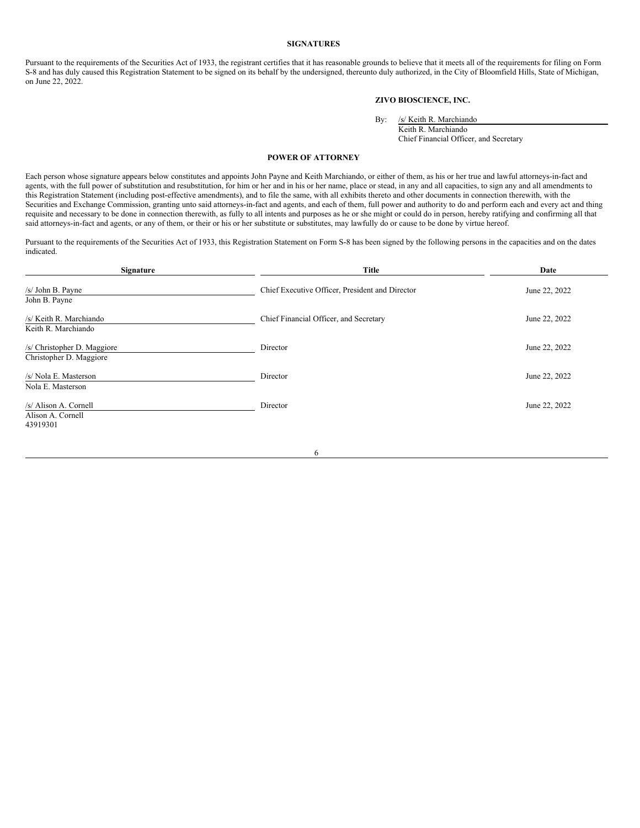#### **SIGNATURES**

Pursuant to the requirements of the Securities Act of 1933, the registrant certifies that it has reasonable grounds to believe that it meets all of the requirements for filing on Form S-8 and has duly caused this Registration Statement to be signed on its behalf by the undersigned, thereunto duly authorized, in the City of Bloomfield Hills, State of Michigan, on June 22, 2022.

## **ZIVO BIOSCIENCE, INC.**

By: /s/ Keith R. Marchiando Keith R. Marchiando

Chief Financial Officer, and Secretary

#### **POWER OF ATTORNEY**

Each person whose signature appears below constitutes and appoints John Payne and Keith Marchiando, or either of them, as his or her true and lawful attorneys-in-fact and agents, with the full power of substitution and resubstitution, for him or her and in his or her name, place or stead, in any and all capacities, to sign any and all amendments to this Registration Statement (including post-effective amendments), and to file the same, with all exhibits thereto and other documents in connection therewith, with the Securities and Exchange Commission, granting unto said attorneys-in-fact and agents, and each of them, full power and authority to do and perform each and every act and thing requisite and necessary to be done in connection therewith, as fully to all intents and purposes as he or she might or could do in person, hereby ratifying and confirming all that said attorneys-in-fact and agents, or any of them, or their or his or her substitute or substitutes, may lawfully do or cause to be done by virtue hereof.

Pursuant to the requirements of the Securities Act of 1933, this Registration Statement on Form S-8 has been signed by the following persons in the capacities and on the dates indicated.

| Signature                                              | <b>Title</b>                                    | Date          |
|--------------------------------------------------------|-------------------------------------------------|---------------|
| /s/ John B. Payne<br>John B. Payne                     | Chief Executive Officer, President and Director | June 22, 2022 |
| /s/ Keith R. Marchiando<br>Keith R. Marchiando         | Chief Financial Officer, and Secretary          | June 22, 2022 |
| /s/ Christopher D. Maggiore<br>Christopher D. Maggiore | Director                                        | June 22, 2022 |
| /s/ Nola E. Masterson<br>Nola E. Masterson             | Director                                        | June 22, 2022 |
| /s/ Alison A. Cornell<br>Alison A. Cornell<br>43919301 | Director                                        | June 22, 2022 |

6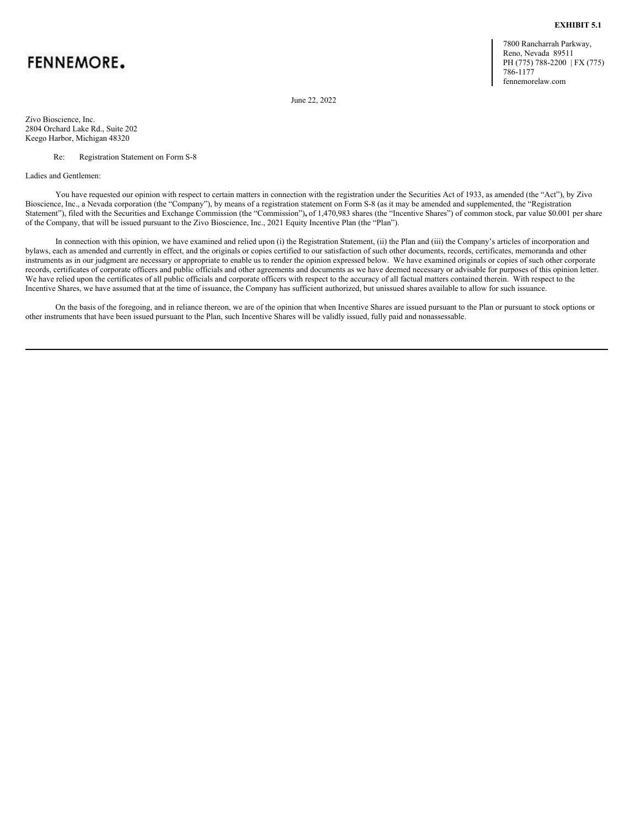# <span id="page-6-0"></span>**FENNEMORE.**

7800 Rancharrah Parkway, Reno, Nevada 89511 PH (775) 788-2200 | FX (775) 786-1177 fennemorelaw.com

**EXHIBIT 5.1**

June 22, 2022

Zivo Bioscience, Inc. 2804 Orchard Lake Rd., Suite 202 Keego Harbor, Michigan 48320

Re: Registration Statement on Form S-8

Ladies and Gentlemen:

You have requested our opinion with respect to certain matters in connection with the registration under the Securities Act of 1933, as amended (the "Act"), by Zivo Bioscience, Inc., a Nevada corporation (the "Company"), by means of a registration statement on Form S-8 (as it may be amended and supplemented, the "Registration Statement"), filed with the Securities and Exchange Commission (the "Commission"), of 1,470,983 shares (the "Incentive Shares") of common stock, par value \$0.001 per share of the Company, that will be issued pursuant to the Zivo Bioscience, Inc., 2021 Equity Incentive Plan (the "Plan").

In connection with this opinion, we have examined and relied upon (i) the Registration Statement, (ii) the Plan and (iii) the Company's articles of incorporation and bylaws, each as amended and currently in effect, and the originals or copies certified to our satisfaction of such other documents, records, certificates, memoranda and other instruments as in our judgment are necessary or appropriate to enable us to render the opinion expressed below. We have examined originals or copies of such other corporate records, certificates of corporate officers and public officials and other agreements and documents as we have deemed necessary or advisable for purposes of this opinion letter. We have relied upon the certificates of all public officials and corporate officers with respect to the accuracy of all factual matters contained therein. With respect to the Incentive Shares, we have assumed that at the time of issuance, the Company has sufficient authorized, but unissued shares available to allow for such issuance.

On the basis of the foregoing, and in reliance thereon, we are of the opinion that when Incentive Shares are issued pursuant to the Plan or pursuant to stock options or other instruments that have been issued pursuant to the Plan, such Incentive Shares will be validly issued, fully paid and nonassessable.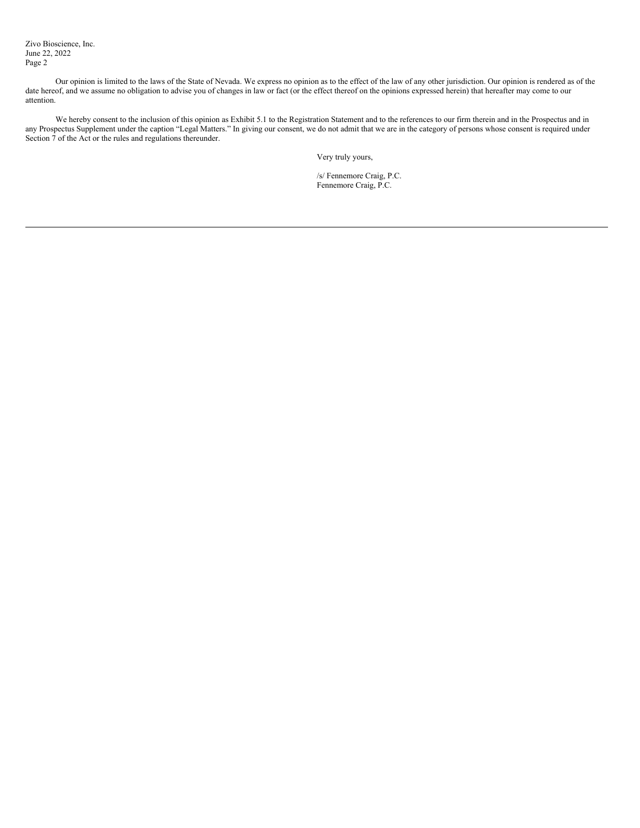Zivo Bioscience, Inc. June 22, 2022 Page 2

Our opinion is limited to the laws of the State of Nevada. We express no opinion as to the effect of the law of any other jurisdiction. Our opinion is rendered as of the date hereof, and we assume no obligation to advise you of changes in law or fact (or the effect thereof on the opinions expressed herein) that hereafter may come to our attention.

We hereby consent to the inclusion of this opinion as Exhibit 5.1 to the Registration Statement and to the references to our firm therein and in the Prospectus and in any Prospectus Supplement under the caption "Legal Matters." In giving our consent, we do not admit that we are in the category of persons whose consent is required under Section  $\overline{7}$  of the Act or the rules and regulations thereunder.

Very truly yours,

/s/ Fennemore Craig, P.C. Fennemore Craig, P.C.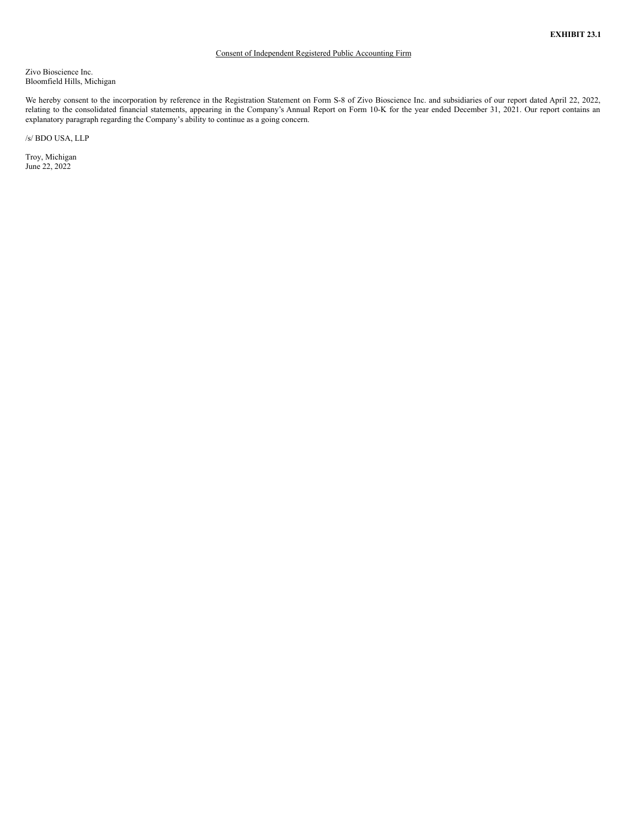## Consent of Independent Registered Public Accounting Firm

<span id="page-8-0"></span>Zivo Bioscience Inc. Bloomfield Hills, Michigan

We hereby consent to the incorporation by reference in the Registration Statement on Form S-8 of Zivo Bioscience Inc. and subsidiaries of our report dated April 22, 2022, relating to the consolidated financial statements, appearing in the Company's Annual Report on Form 10-K for the year ended December 31, 2021. Our report contains an explanatory paragraph regarding the Company's ability to continue as a going concern.

/s/ BDO USA, LLP

Troy, Michigan June 22, 2022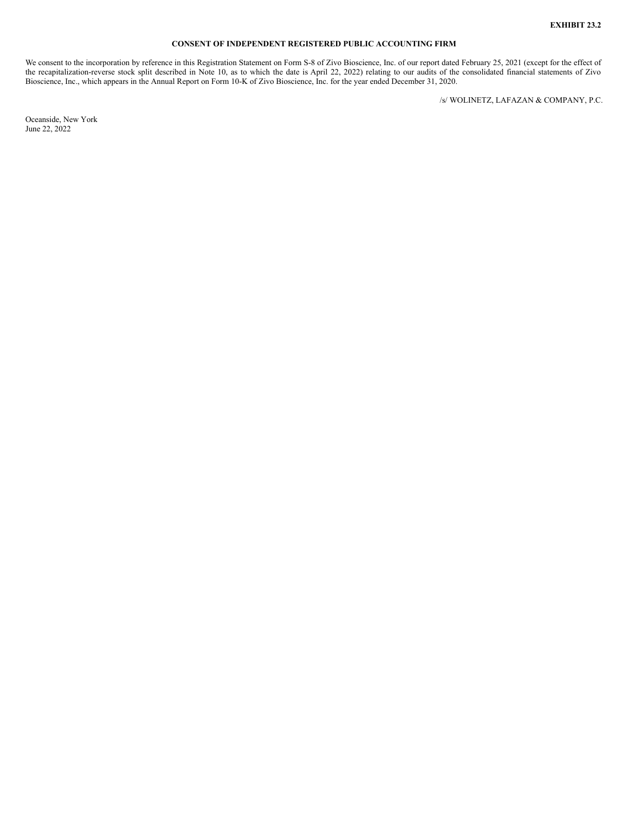#### **CONSENT OF INDEPENDENT REGISTERED PUBLIC ACCOUNTING FIRM**

<span id="page-9-0"></span>We consent to the incorporation by reference in this Registration Statement on Form S-8 of Zivo Bioscience, Inc. of our report dated February 25, 2021 (except for the effect of the recapitalization-reverse stock split described in Note 10, as to which the date is April 22, 2022) relating to our audits of the consolidated financial statements of Zivo Bioscience, Inc., which appears in the Annual Report on Form 10-K of Zivo Bioscience, Inc. for the year ended December 31, 2020.

/s/ WOLINETZ, LAFAZAN & COMPANY, P.C.

Oceanside, New York June 22, 2022